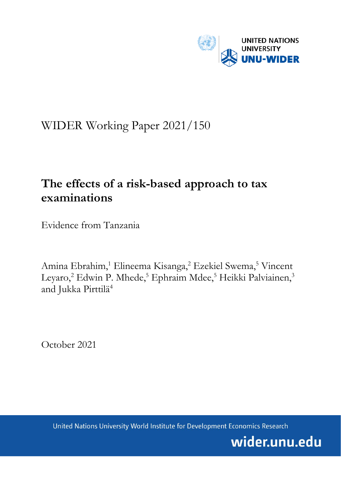

# WIDER Working Paper 2021/150

# **The effects of a risk-based approach to tax examinations**

Evidence from Tanzania

Amina Ebrahim,<sup>1</sup> Elineema Kisanga,<sup>2</sup> Ezekiel Swema,<sup>5</sup> Vincent Leyaro,<sup>2</sup> Edwin P. Mhede,<sup>5</sup> Ephraim Mdee,<sup>5</sup> Heikki Palviainen,<sup>3</sup> and Jukka Pirttilä<sup>4</sup>

October 2021

United Nations University World Institute for Development Economics Research

wider.unu.edu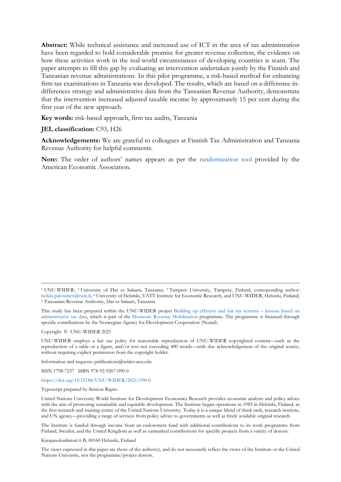**Abstract:** While technical assistance and increased use of ICT in the area of tax administration have been regarded to hold considerable promise for greater revenue collection, the evidence on how these activities work in the real-world circumstances of developing countries is scant. The paper attempts to fill this gap by evaluating an intervention undertaken jointly by the Finnish and Tanzanian revenue administrations. In this pilot programme, a risk-based method for enhancing firm tax examinations in Tanzania was developed. The results, which are based on a difference-indifferences strategy and administrative data from the Tanzanian Revenue Authority, demonstrate that the intervention increased adjusted taxable income by approximately 15 per cent during the first year of the new approach.

**Key words:** risk-based approach, firm tax audits, Tanzania

### **JEL classification:** C93, H26

**Acknowledgements:** We are grateful to colleagues at Finnish Tax Administration and Tanzania Revenue Authority for helpful comments.

**Note:** The order of authors' names appears as per the [randomization tool](https://www.aeaweb.org/journals/policies/random-author-order/generator) provided by the American Economic Association.

This study has been prepared within the UNU-WIDER project [Building up efficient and fair tax systems –](https://www.wider.unu.edu/node/236947) lessons based on [administrative tax data,](https://www.wider.unu.edu/node/236947) which is part of the [Domestic Revenue Mobilization](https://www.wider.unu.edu/node/237587) programme. The programme is financed through specific contributions by the Norwegian Agency for Development Cooperation (Norad).

Copyright © UNU-WIDER 2021

UNU-WIDER employs a fair use policy for reasonable reproduction of UNU-WIDER copyrighted content—such as the reproduction of a table or a figure, and/or text not exceeding 400 words—with due acknowledgement of the original source, without requiring explicit permission from the copyright holder.

Information and requests: publications@wider.unu.edu

ISSN 1798-7237 ISBN 978-92-9267-090-0

#### <https://doi.org/10.35188/UNU-WIDER/2021/090-0>

Typescript prepared by Siméon Rapin.

The Institute is funded through income from an endowment fund with additional contributions to its work programme from Finland, Sweden, and the United Kingdom as well as earmarked contributions for specific projects from a variety of donors.

Katajanokanlaituri 6 B, 00160 Helsinki, Finland

The views expressed in this paper are those of the author(s), and do not necessarily reflect the views of the Institute or the United Nations University, nor the programme/project donors.

<sup>1</sup> UNU-WIDER; 2 University of Dar es Salaam, Tanzania; 3 Tampere University, Tampere, Finland, corresponding author: heikki.palviainen@tuni.fi; 4 University of Helsinki, VATT Institute for Economic Research, and UNU-WIDER, Helsinki, Finland; 5 Tanzanian Revenue Authority, Dar es Salaam, Tanzania

United Nations University World Institute for Development Economics Research provides economic analysis and policy advice with the aim of promoting sustainable and equitable development. The Institute began operations in 1985 in Helsinki, Finland, as the first research and training centre of the United Nations University. Today it is a unique blend of think tank, research institute, and UN agency—providing a range of services from policy advice to governments as well as freely available original research.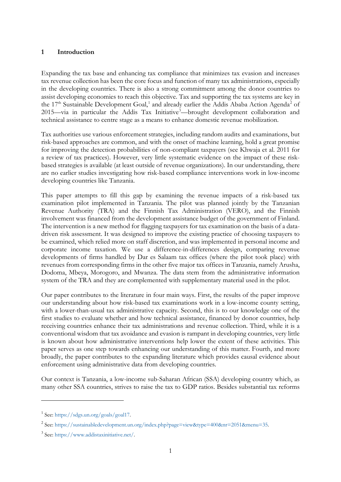## **1 Introduction**

Expanding the tax base and enhancing tax compliance that minimizes tax evasion and increases tax revenue collection has been the core focus and function of many tax administrations, especially in the developing countries. There is also a strong commitment among the donor countries to assist developing economies to reach this objective. Tax and supporting the tax systems are key in the [1](#page-2-0)7<sup>th</sup> Sustainable Development Goal,<sup>1</sup> and already earlier the Addis Ababa Action Agenda<sup>[2](#page-2-1)</sup> of 2015—via in particular the Addis Tax Initiative<sup>[3](#page-2-2)</sup>—brought development collaboration and technical assistance to centre stage as a means to enhance domestic revenue mobilization.

Tax authorities use various enforcement strategies, including random audits and examinations, but risk-based approaches are common, and with the onset of machine learning, hold a great promise for improving the detection probabilities of non-compliant taxpayers (see Khwaja et al. 2011 for a review of tax practices). However, very little systematic evidence on the impact of these riskbased strategies is available (at least outside of revenue organizations). In our understanding, there are no earlier studies investigating how risk-based compliance interventions work in low-income developing countries like Tanzania.

This paper attempts to fill this gap by examining the revenue impacts of a risk-based tax examination pilot implemented in Tanzania. The pilot was planned jointly by the Tanzanian Revenue Authority (TRA) and the Finnish Tax Administration (VERO), and the Finnish involvement was financed from the development assistance budget of the government of Finland. The intervention is a new method for flagging taxpayers for tax examination on the basis of a datadriven risk assessment. It was designed to improve the existing practice of choosing taxpayers to be examined, which relied more on staff discretion, and was implemented in personal income and corporate income taxation. We use a difference-in-differences design, comparing revenue developments of firms handled by Dar es Salaam tax offices (where the pilot took place) with revenues from corresponding firms in the other five major tax offices in Tanzania, namely Arusha, Dodoma, Mbeya, Morogoro, and Mwanza. The data stem from the administrative information system of the TRA and they are complemented with supplementary material used in the pilot.

Our paper contributes to the literature in four main ways. First, the results of the paper improve our understanding about how risk-based tax examinations work in a low-income county setting, with a lower-than-usual tax administrative capacity. Second, this is to our knowledge one of the first studies to evaluate whether and how technical assistance, financed by donor countries, help receiving countries enhance their tax administrations and revenue collection. Third, while it is a conventional wisdom that tax avoidance and evasion is rampant in developing countries, very little is known about how administrative interventions help lower the extent of these activities. This paper serves as one step towards enhancing our understanding of this matter. Fourth, and more broadly, the paper contributes to the expanding literature which provides causal evidence about enforcement using administrative data from developing countries.

Our context is Tanzania, a low-income sub-Saharan African (SSA) developing country which, as many other SSA countries, strives to raise the tax to GDP ratios. Besides substantial tax reforms

<span id="page-2-0"></span><sup>1</sup> See[: https://sdgs.un.org/goals/goal17.](https://sdgs.un.org/goals/goal17)

<span id="page-2-1"></span><sup>2</sup> See[: https://sustainabledevelopment.un.org/index.php?page=view&type=400&nr=2051&menu=35.](https://sustainabledevelopment.un.org/index.php?page=view&type=400&nr=2051&menu=35)

<span id="page-2-2"></span><sup>3</sup> See[: https://www.addistaxinitiative.net/.](https://www.addistaxinitiative.net/)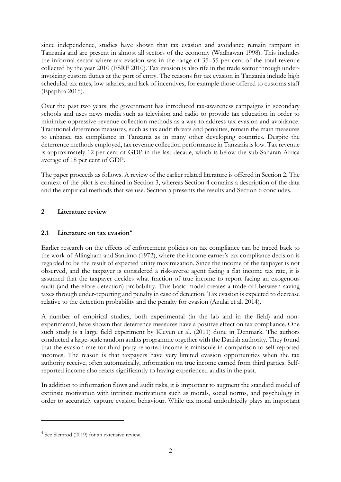since independence, studies have shown that tax evasion and avoidance remain rampant in Tanzania and are present in almost all sectors of the economy (Wadhawan 1998). This includes the informal sector where tax evasion was in the range of 35–55 per cent of the total revenue collected by the year 2010 (ESRF 2010). Tax evasion is also rife in the trade sector through underinvoicing custom duties at the port of entry. The reasons for tax evasion in Tanzania include high scheduled tax rates, low salaries, and lack of incentives, for example those offered to customs staff (Epaphra 2015).

Over the past two years, the government has introduced tax-awareness campaigns in secondary schools and uses news media such as television and radio to provide tax education in order to minimize oppressive revenue collection methods as a way to address tax evasion and avoidance. Traditional deterrence measures, such as tax audit threats and penalties, remain the main measures to enhance tax compliance in Tanzania as in many other developing countries. Despite the deterrence methods employed, tax revenue collection performance in Tanzania is low. Tax revenue is approximately 12 per cent of GDP in the last decade, which is below the sub-Saharan Africa average of 18 per cent of GDP.

The paper proceeds as follows. A review of the earlier related literature is offered in Section 2. The context of the pilot is explained in Section 3, whereas Section 4 contains a description of the data and the empirical methods that we use. Section 5 presents the results and Section 6 concludes.

# **2 Literature review**

# **2.1 Literature on tax evasion[4](#page-3-0)**

Earlier research on the effects of enforcement policies on tax compliance can be traced back to the work of Allingham and Sandmo (1972), where the income earner's tax compliance decision is regarded to be the result of expected utility maximization. Since the income of the taxpayer is not observed, and the taxpayer is considered a risk-averse agent facing a flat income tax rate, it is assumed that the taxpayer decides what fraction of true income to report facing an exogenous audit (and therefore detection) probability. This basic model creates a trade-off between saving taxes through under-reporting and penalty in case of detection. Tax evasion is expected to decrease relative to the detection probability and the penalty for evasion (Azulai et al. 2014).

A number of empirical studies, both experimental (in the lab and in the field) and nonexperimental, have shown that deterrence measures have a positive effect on tax compliance. One such study is a large field experiment by Kleven et al. (2011) done in Denmark. The authors conducted a large-scale random audits programme together with the Danish authority. They found that the evasion rate for third-party reported income is miniscule in comparison to self-reported incomes. The reason is that taxpayers have very limited evasion opportunities when the tax authority receive, often automatically, information on true income earned from third parties. Selfreported income also reacts significantly to having experienced audits in the past.

In addition to information flows and audit risks, it is important to augment the standard model of extrinsic motivation with intrinsic motivations such as morals, social norms, and psychology in order to accurately capture evasion behaviour. While tax moral undoubtedly plays an important

<span id="page-3-0"></span><sup>&</sup>lt;sup>4</sup> See Slemrod (2019) for an extensive review.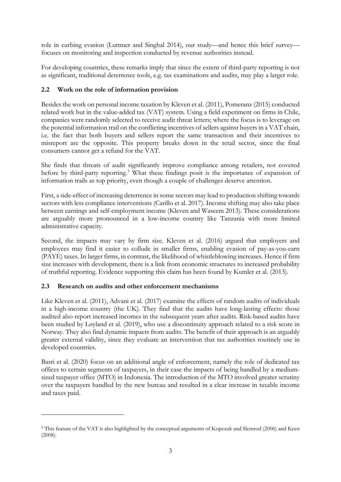role in curbing evasion (Luttmer and Singhal 2014), our study—and hence this brief survey focuses on monitoring and inspection conducted by revenue authorities instead.

For developing countries, these remarks imply that since the extent of third-party reporting is not as significant, traditional deterrence tools, e.g. tax examinations and audits, may play a larger role.

# **2.2 Work on the role of information provision**

Besides the work on personal income taxation by Kleven et al. (2011), Pomeranz (2015) conducted related work but in the value-added tax (VAT) system. Using a field experiment on firms in Chile, companies were randomly selected to receive audit threat letters; where the focus is to leverage on the potential information trail on the conflicting incentives of sellers against buyers in a VAT chain, i.e. the fact that both buyers and sellers report the same transaction and their incentives to misreport are the opposite. This property breaks down in the retail sector, since the final consumers cannot get a refund for the VAT.

She finds that threats of audit significantly improve compliance among retailers, not covered before by third-party reporting.<sup>[5](#page-4-0)</sup> What these findings posit is the importance of expansion of information trails as top priority, even though a couple of challenges deserve attention.

First, a side-effect of increasing deterrence in some sectors may lead to production shifting towards sectors with less compliance interventions (Carillo et al. 2017). Income shifting may also take place between earnings and self-employment income (Kleven and Waseem 2013). These considerations are arguably more pronounced in a low-income country like Tanzania with more limited administrative capacity.

Second, the impacts may vary by firm size. Kleven et al. (2016) argued that employers and employees may find it easier to collude in smaller firms, enabling evasion of pay-as-you-earn (PAYE) taxes. In larger firms, in contrast, the likelihood of whistleblowing increases. Hence if firm size increases with development, there is a link from economic structures to increased probability of truthful reporting. Evidence supporting this claim has been found by Kumler et al. (2013).

# **2.3 Research on audits and other enforcement mechanisms**

Like Kleven et al. (2011), Advani et al. (2017) examine the effects of random audits of individuals in a high-income country (the UK). They find that the audits have long-lasting effects: those audited also report increased incomes in the subsequent years after audits. Risk-based audits have been studied by Løyland et al. (2019), who use a discontinuity approach related to a risk score in Norway. They also find dynamic impacts from audits. The benefit of their approach is an arguably greater external validity, since they evaluate an intervention that tax authorities routinely use in developed countries.

Basri et al. (2020) focus on an additional angle of enforcement, namely the role of dedicated tax offices to certain segments of taxpayers, in their case the impacts of being handled by a mediumsized taxpayer office (MTO) in Indonesia. The introduction of the MTO involved greater scrutiny over the taxpayers handled by the new bureau and resulted in a clear increase in taxable income and taxes paid.

<span id="page-4-0"></span><sup>5</sup> This feature of the VAT is also highlighted by the conceptual arguments of Kopczuk and Slemrod (2006) and Keen (2008).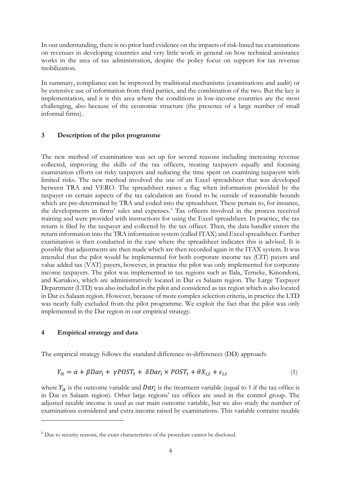In our understanding, there is no prior hard evidence on the impacts of risk-based tax examinations on revenues in developing countries and very little work in general on how technical assistance works in the area of tax administration, despite the policy focus on support for tax revenue mobilization.

In summary, compliance can be improved by traditional mechanisms (examinations and audit) or by extensive use of information from third parties, and the combination of the two. But the key is implementation, and it is this area where the conditions in low-income countries are the most challenging, also because of the economic structure (the presence of a large number of small informal firms).

## **3 Description of the pilot programme**

The new method of examination was set up for several reasons including increasing revenue collected, improving the skills of the tax officers, treating taxpayers equally and focusing examination efforts on risky taxpayers and reducing the time spent on examining taxpayers with limited risks. The new method involved the use of an Excel spreadsheet that was developed between TRA and VERO. The spreadsheet raises a flag when information provided by the taxpayer on certain aspects of the tax calculation are found to be outside of reasonable bounds which are pre-determined by TRA and coded into the spreadsheet. These pertain to, for instance, the developments in firms' sales and expenses.<sup>[6](#page-5-0)</sup> Tax officers involved in the process received training and were provided with instructions for using the Excel spreadsheet. In practice, the tax return is filed by the taxpayer and collected by the tax officer. Then, the data handler enters the return information into the TRA information system (called ITAX) and Excel spreadsheet. Further examination is then conducted in the case where the spreadsheet indicates this is advised. It is possible that adjustments are then made which are then recorded again in the ITAX system. It was intended that the pilot would be implemented for both corporate income tax (CIT) payers and value added tax (VAT) payers, however, in practice the pilot was only implemented for corporate income taxpayers. The pilot was implemented in tax regions such as Ilala, Temeke, Kinondoni, and Kariakoo, which are administratively located in Dar es Salaam region. The Large Taxpayer Department (LTD) was also included in the pilot and considered as tax region which is also located in Dar es Salaam region. However, because of more complex selection criteria, in practice the LTD was nearly fully excluded from the pilot programme. We exploit the fact that the pilot was only implemented in the Dar region in our empirical strategy.

## **4 Empirical strategy and data**

The empirical strategy follows the standard difference-in-differences (DD) approach:

$$
Y_{it} = \alpha + \beta D a r_i + \gamma P O S T_t + \delta D a r_i \times P O S T_t + \theta X_{i,t} + \varepsilon_{i,t}
$$
\n
$$
\tag{1}
$$

where  $Y_{it}$  is the outcome variable and  $Dar_i$  is the treatment variable (equal to 1 if the tax office is in Dar es Salaam region). Other large regions' tax offices are used in the control group. The adjusted taxable income is used as our main outcome variable, but we also study the number of examinations considered and extra income raised by examinations. This variable contains taxable

<span id="page-5-0"></span><sup>6</sup> Due to security reasons, the exact characteristics of the procedure cannot be disclosed.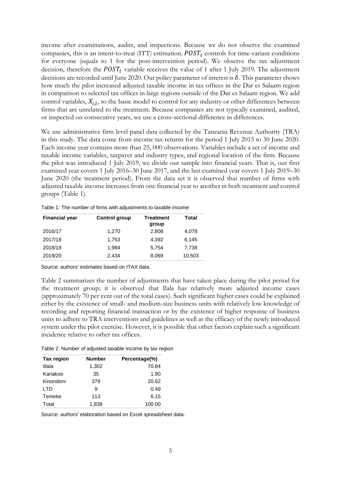income after examinations, audits, and inspections. Because we do not observe the examined companies, this is an intent-to-treat (ITT) estimation.  $POST_t$  controls for time-variant conditions for everyone (equals to 1 for the post-intervention period). We observe the tax adjustment decision, therefore the  $POST_t$  variable receives the value of 1 after 1 July 2019. The adjustment decisions are recorded until June 2020. Our policy parameter of interest is  $\delta$ . This parameter shows how much the pilot increased adjusted taxable income in tax offices in the Dar es Salaam region in comparison to selected tax offices in large regions outside of the Dar es Salaam region. We add control variables,  $X_{i,t}$ , to the basic model to control for any industry or other differences between firms that are unrelated to the treatment. Because companies are not typically examined, audited, or inspected on consecutive years, we use a cross-sectional difference in differences.

We use administrative firm level panel data collected by the Tanzania Revenue Authority (TRA) in this study. The data come from income tax returns for the period 1 July 2015 to 30 June 2020. Each income year contains more than 25, 000 observations. Variables include a set of income and taxable income variables, taxpayer and industry types, and regional location of the firm. Because the pilot was introduced 1 July 2019, we divide our sample into financial years. That is, our first examined year covers 1 July 2016–30 June 2017, and the last examined year covers 1 July 2019–30 June 2020 (the treatment period). From the data set it is observed that number of firms with adjusted taxable income increases from one financial year to another in both treatment and control groups (Table 1).

Table 1: The number of firms with adjustments to taxable income

| <b>Financial year</b> | <b>Control group</b> | <b>Treatment</b><br>group | Total  |
|-----------------------|----------------------|---------------------------|--------|
| 2016/17               | 1,270                | 2,808                     | 4,078  |
| 2017/18               | 1.753                | 4.392                     | 6,145  |
| 2018/19               | 1,984                | 5.754                     | 7,738  |
| 2019/20               | 2.434                | 8,069                     | 10,503 |

Source: authors' estimates based on ITAX data.

[Table 2](#page-6-0) summarizes the number of adjustments that have taken place during the pilot period for the treatment group; it is observed that Ilala has relatively more adjusted income cases (approximately 70 per cent out of the total cases). Such significant higher cases could be explained either by the existence of small- and medium-size business units with relatively low knowledge of recording and reporting financial transaction or by the existence of higher response of business units to adhere to TRA interventions and guidelines as well as the efficacy of the newly introduced system under the pilot exercise. However, it is possible that other factors explain such a significant incidence relative to other tax offices.

<span id="page-6-0"></span>Table 2: Number of adjusted taxable income by tax region

| Tax region | <b>Number</b> | Percentage(%) |
|------------|---------------|---------------|
| Illala     | 1,302         | 70.84         |
| Kariakoo   | 35            | 1.90          |
| Kinondoni  | 379           | 20.62         |
| I TD       | 9             | 0.49          |
| Temeke     | 113           | 6.15          |
| Total      | 1,838         | 100.00        |

Source: authors' elaboration based on Excel spreadsheet data.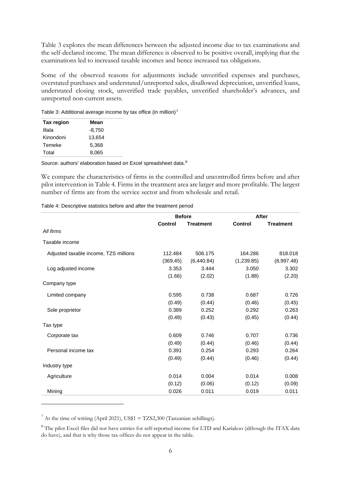[Table 3](#page-7-0) explores the mean differences between the adjusted income due to tax examinations and the self-declared income. The mean difference is observed to be positive overall, implying that the examinations led to increased taxable incomes and hence increased tax obligations.

Some of the observed reasons for adjustments include unverified expenses and purchases, overstated purchases and understated/unreported sales, disallowed depreciation, unverified loans, understated closing stock, unverified trade payables, unverified shareholder's advances, and unreported non-current assets.

<span id="page-7-0"></span>Table 3: Additional average income by tax office (in million)<sup>[7](#page-7-2)</sup>

| <b>Tax region</b> | Mean     |
|-------------------|----------|
| Illala            | $-8,750$ |
| Kinondoni         | 13,654   |
| Temeke            | 5,368    |
| Total             | 8,065    |

Source: authors' elaboration based on Excel spreadsheet data.<sup>[8](#page-7-3)</sup>

We compare the characteristics of firms in the controlled and uncontrolled firms before and after pilot intervention in [Table 4.](#page-7-1) Firms in the treatment area are larger and more profitable. The largest number of firms are from the service sector and from wholesale and retail.

<span id="page-7-1"></span>

| Table 4: Descriptive statistics before and after the treatment period |  |  |  |
|-----------------------------------------------------------------------|--|--|--|
|-----------------------------------------------------------------------|--|--|--|

|                                       | <b>Before</b>  |                  | After          |                  |
|---------------------------------------|----------------|------------------|----------------|------------------|
|                                       | <b>Control</b> | <b>Treatment</b> | <b>Control</b> | <b>Treatment</b> |
| All firms                             |                |                  |                |                  |
| Taxable income                        |                |                  |                |                  |
| Adjusted taxable income, TZS millions | 112.484        | 506.175          | 164.286        | 818.018          |
|                                       | (369.45)       | (6,440.84)       | (1,239.85)     | (8,997.48)       |
| Log adjusted income                   | 3.353          | 3.444            | 3.050          | 3.302            |
|                                       | (1.66)         | (2.02)           | (1.88)         | (2.20)           |
| Company type                          |                |                  |                |                  |
| Limited company                       | 0.595          | 0.738            | 0.687          | 0.726            |
|                                       | (0.49)         | (0.44)           | (0.46)         | (0.45)           |
| Sole proprietor                       | 0.389          | 0.252            | 0.292          | 0.263            |
|                                       | (0.49)         | (0.43)           | (0.45)         | (0.44)           |
| Tax type                              |                |                  |                |                  |
| Corporate tax                         | 0.609          | 0.746            | 0.707          | 0.736            |
|                                       | (0.49)         | (0.44)           | (0.46)         | (0.44)           |
| Personal income tax                   | 0.391          | 0.254            | 0.293          | 0.264            |
|                                       | (0.49)         | (0.44)           | (0.46)         | (0.44)           |
| Industry type                         |                |                  |                |                  |
| Agriculture                           | 0.014          | 0.004            | 0.014          | 0.008            |
|                                       | (0.12)         | (0.06)           | (0.12)         | (0.09)           |
| Mining                                | 0.026          | 0.011            | 0.019          | 0.011            |

<span id="page-7-2"></span> $^7$  At the time of writing (April 2021), US\$1 = TZS2,300 (Tanzanian schillings).

<span id="page-7-3"></span><sup>&</sup>lt;sup>8</sup> The pilot Excel files did not have entries for self-reported income for LTD and Kariakoo (although the ITAX data do have), and that is why those tax offices do not appear in the table.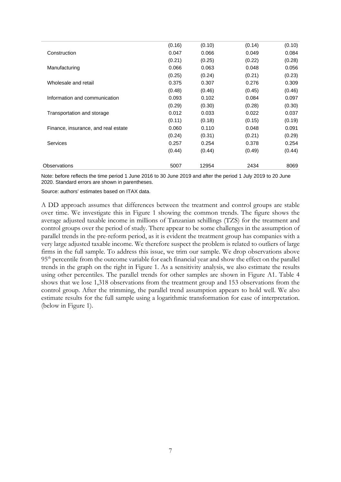|                                     | (0.16) | (0.10) | (0.14) | (0.10) |
|-------------------------------------|--------|--------|--------|--------|
| Construction                        | 0.047  | 0.066  | 0.049  | 0.084  |
|                                     | (0.21) | (0.25) | (0.22) | (0.28) |
| Manufacturing                       | 0.066  | 0.063  | 0.048  | 0.056  |
|                                     | (0.25) | (0.24) | (0.21) | (0.23) |
| Wholesale and retail                | 0.375  | 0.307  | 0.276  | 0.309  |
|                                     | (0.48) | (0.46) | (0.45) | (0.46) |
| Information and communication       | 0.093  | 0.102  | 0.084  | 0.097  |
|                                     | (0.29) | (0.30) | (0.28) | (0.30) |
| Transportation and storage          | 0.012  | 0.033  | 0.022  | 0.037  |
|                                     | (0.11) | (0.18) | (0.15) | (0.19) |
| Finance, insurance, and real estate | 0.060  | 0.110  | 0.048  | 0.091  |
|                                     | (0.24) | (0.31) | (0.21) | (0.29) |
| <b>Services</b>                     | 0.257  | 0.254  | 0.378  | 0.254  |
|                                     | (0.44) | (0.44) | (0.49) | (0.44) |
| Observations                        | 5007   | 12954  | 2434   | 8069   |
|                                     |        |        |        |        |

Note: before reflects the time period 1 June 2016 to 30 June 2019 and after the period 1 July 2019 to 20 June 2020. Standard errors are shown in parentheses.

Source: authors' estimates based on ITAX data.

<span id="page-8-0"></span>A DD approach assumes that differences between the treatment and control groups are stable over time. We investigate this in Figure 1 showing the common trends. The figure shows the average adjusted taxable income in millions of Tanzanian schillings (TZS) for the treatment and control groups over the period of study. There appear to be some challenges in the assumption of parallel trends in the pre-reform period, as it is evident the treatment group has companies with a very large adjusted taxable income. We therefore suspect the problem is related to outliers of large firms in the full sample. To address this issue, we trim our sample. We drop observations above 95<sup>th</sup> percentile from the outcome variable for each financial year and show the effect on the parallel trends in the graph on the right in [Figure 1.](#page-8-0) As a sensitivity analysis, we also estimate the results using other percentiles. The parallel trends for other samples are shown in Figure A1. Table 4 shows that we lose 1,318 observations from the treatment group and 153 observations from the control group. After the trimming, the parallel trend assumption appears to hold well. We also estimate results for the full sample using a logarithmic transformation for ease of interpretation. (below in Figure 1).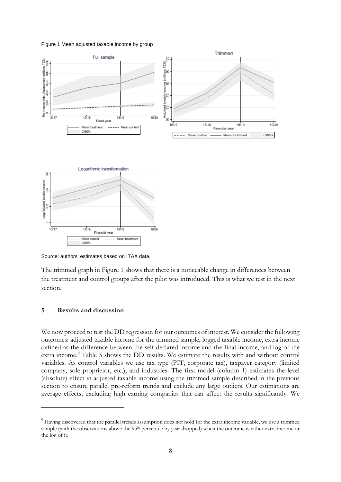#### Figure 1 Mean adjusted taxable income by group



Source: authors' estimates based on ITAX data.

The trimmed graph in [Figure 1](#page-8-0) shows that there is a noticeable change in differences between the treatment and control groups after the pilot was introduced. This is what we test in the next section.

## **5 Results and discussion**

We now proceed to test the DD regression for our outcomes of interest. We consider the following outcomes: adjusted taxable income for the trimmed sample, logged taxable income, extra income defined as the difference between the self-declared income and the final income, and log of the extra income.<sup>[9](#page-9-0)</sup> [Table 5](#page-10-0) shows the DD results. We estimate the results with and without control variables. As control variables we use tax type (PIT, corporate tax), taxpayer category (limited company, sole proprietor, etc.), and industries. The first model (column 1) estimates the level (absolute) effect in adjusted taxable income using the trimmed sample described in the previous section to ensure parallel pre-reform trends and exclude any large outliers. Our estimations are average effects, excluding high earning companies that can affect the results significantly. We

<span id="page-9-0"></span> $9$  Having discovered that the parallel trends assumption does not hold for the extra income variable, we use a trimmed sample (with the observations above the 95<sup>th</sup> percentile by year dropped) when the outcome is either extra income or the log of it.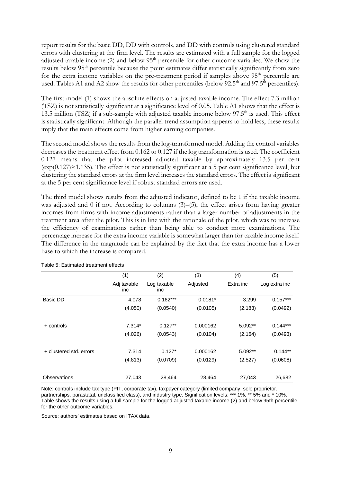report results for the basic DD, DD with controls, and DD with controls using clustered standard errors with clustering at the firm level. The results are estimated with a full sample for the logged adjusted taxable income (2) and below 95<sup>th</sup> percentile for other outcome variables. We show the results below 95th percentile because the point estimates differ statistically significantly from zero for the extra income variables on the pre-treatment period if samples above  $95<sup>th</sup>$  percentile are used. Tables A1 and A2 show the results for other percentiles (below 92.5<sup>th</sup> and 97.5<sup>th</sup> percentiles).

The first model (1) shows the absolute effects on adjusted taxable income. The effect 7.3 million (TSZ) is not statistically significant at a significance level of 0.05. Table A1 shows that the effect is 13.5 million (TSZ) if a sub-sample with adjusted taxable income below  $97.5<sup>th</sup>$  is used. This effect is statistically significant. Although the parallel trend assumption appears to hold less, these results imply that the main effects come from higher earning companies.

The second model shows the results from the log-transformed model. Adding the control variables decreases the treatment effect from 0.162 to 0.127 if the log transformation is used. The coefficient 0.127 means that the pilot increased adjusted taxable by approximately 13.5 per cent  $(\exp(0.127) \approx 1.135)$ . The effect is not statistically significant at a 5 per cent significance level, but clustering the standard errors at the firm level increases the standard errors. The effect is significant at the 5 per cent significance level if robust standard errors are used.

The third model shows results from the adjusted indicator, defined to be 1 if the taxable income was adjusted and 0 if not. According to columns  $(3)$ – $(5)$ , the effect arises from having greater incomes from firms with income adjustments rather than a larger number of adjustments in the treatment area after the pilot. This is in line with the rationale of the pilot, which was to increase the efficiency of examinations rather than being able to conduct more examinations. The percentage increase for the extra income variable is somewhat larger than for taxable income itself. The difference in the magnitude can be explained by the fact that the extra income has a lower base to which the increase is compared.

|                         | (1)                | (2)                | (3)       | (4)       | (5)           |
|-------------------------|--------------------|--------------------|-----------|-----------|---------------|
|                         | Adj taxable<br>inc | Log taxable<br>inc | Adjusted  | Extra inc | Log extra inc |
| Basic DD                | 4.078              | $0.162***$         | $0.0181*$ | 3.299     | $0.157***$    |
|                         | (4.050)            | (0.0540)           | (0.0105)  | (2.183)   | (0.0492)      |
| + controls              | $7.314*$           | $0.127**$          | 0.000162  | $5.092**$ | $0.144***$    |
|                         | (4.026)            | (0.0543)           | (0.0104)  | (2.164)   | (0.0493)      |
| + clustered std. errors | 7.314              | $0.127*$           | 0.000162  | $5.092**$ | $0.144**$     |
|                         | (4.813)            | (0.0709)           | (0.0129)  | (2.527)   | (0.0608)      |
| Observations            | 27,043             | 28,464             | 28,464    | 27,043    | 26,682        |

<span id="page-10-0"></span>Table 5: Estimated treatment effects

Note: controls include tax type (PIT, corporate tax), taxpayer category (limited company, sole proprietor, partnerships, parastatal, unclassified class), and industry type. Signification levels: \*\*\* 1%, \*\* 5% and \* 10%. Table shows the results using a full sample for the logged adjusted taxable income (2) and below 95th percentile for the other outcome variables.

Source: authors' estimates based on ITAX data.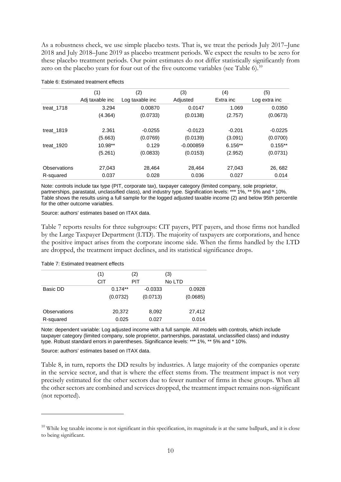As a robustness check, we use simple placebo tests. That is, we treat the periods July 2017–June 2018 and July 2018–June 2019 as placebo treatment periods. We expect the results to be zero for these placebo treatment periods. Our point estimates do not differ statistically significantly from zero on the placebo years for four out of the five outcome variables (see Table 6).<sup>[10](#page-11-0)</sup>

|              | (1)             | (2)             | (3)         | (4)       | (5)           |
|--------------|-----------------|-----------------|-------------|-----------|---------------|
|              | Adj taxable inc | Log taxable inc | Adjusted    | Extra inc | Log extra inc |
| treat_1718   | 3.294           | 0.00870         | 0.0147      | 1.069     | 0.0350        |
|              | (4.364)         | (0.0733)        | (0.0138)    | (2.757)   | (0.0673)      |
| treat_1819   | 2.361           | $-0.0255$       | $-0.0123$   | $-0.201$  | $-0.0225$     |
|              | (5.663)         | (0.0769)        | (0.0139)    | (3.091)   | (0.0700)      |
| treat_1920   | $10.98**$       | 0.129           | $-0.000859$ | $6.156**$ | $0.155**$     |
|              | (5.261)         | (0.0833)        | (0.0153)    | (2.952)   | (0.0731)      |
| Observations | 27,043          | 28.464          | 28,464      | 27,043    | 26, 682       |
| R-squared    | 0.037           | 0.028           | 0.036       | 0.027     | 0.014         |

#### Table 6: Estimated treatment effects

Note: controls include tax type (PIT, corporate tax), taxpayer category (limited company, sole proprietor, partnerships, parastatal, unclassified class), and industry type. Signification levels: \*\*\* 1%, \*\* 5% and \* 10%. Table shows the results using a full sample for the logged adjusted taxable income (2) and below 95th percentile for the other outcome variables.

Source: authors' estimates based on ITAX data.

Table 7 reports results for three subgroups: CIT payers, PIT payers, and those firms not handled by the Large Taxpayer Department (LTD). The majority of taxpayers are corporations, and hence the positive impact arises from the corporate income side. When the firms handled by the LTD are dropped, the treatment impact declines, and its statistical significance drops.

#### Table 7: Estimated treatment effects

|              | (1)        |           | (2) |           | (3)    |          |
|--------------|------------|-----------|-----|-----------|--------|----------|
|              | <b>CIT</b> |           | PIT |           | No LTD |          |
| Basic DD     |            | $0.174**$ |     | $-0.0333$ |        | 0.0928   |
|              |            | (0.0732)  |     | (0.0713)  |        | (0.0685) |
| Observations |            | 20,372    |     | 8,092     |        | 27,412   |
| R-squared    |            | 0.025     |     | 0.027     |        | 0.014    |

Note: dependent variable: Log adjusted income with a full sample. All models with controls, which include taxpayer category (limited company, sole proprietor, partnerships, parastatal, unclassified class) and industry type. Robust standard errors in parentheses. Significance levels: \*\*\* 1%, \*\* 5% and \* 10%.

#### Source: authors' estimates based on ITAX data.

Table 8, in turn, reports the DD results by industries. A large majority of the companies operate in the service sector, and that is where the effect stems from. The treatment impact is not very precisely estimated for the other sectors due to fewer number of firms in these groups. When all the other sectors are combined and services dropped, the treatment impact remains non-significant (not reported).

<span id="page-11-0"></span> $10$  While log taxable income is not significant in this specification, its magnitude is at the same ballpark, and it is close to being significant.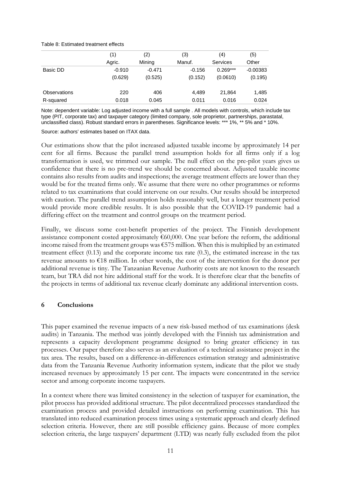#### Table 8: Estimated treatment effects

|              | (1)      | (2)      | (3)      | (4)        | (5)        |
|--------------|----------|----------|----------|------------|------------|
|              | Agric.   | Mining   | Manuf.   | Services   | Other      |
| Basic DD     | $-0.910$ | $-0.471$ | $-0.156$ | $0.269***$ | $-0.00383$ |
|              | (0.629)  | (0.525)  | (0.152)  | (0.0610)   | (0.195)    |
| Observations | 220      | 406      | 4,489    | 21,864     | 1,485      |
| R-squared    | 0.018    | 0.045    | 0.011    | 0.016      | 0.024      |

Note: dependent variable: Log adjusted income with a full sample . All models with controls, which include tax type (PIT, corporate tax) and taxpayer category (limited company, sole proprietor, partnerships, parastatal, unclassified class). Robust standard errors in parentheses. Significance levels: \*\*\* 1%, \*\* 5% and \* 10%.

Source: authors' estimates based on ITAX data.

Our estimations show that the pilot increased adjusted taxable income by approximately 14 per cent for all firms. Because the parallel trend assumption holds for all firms only if a log transformation is used, we trimmed our sample. The null effect on the pre-pilot years gives us confidence that there is no pre-trend we should be concerned about. Adjusted taxable income contains also results from audits and inspections; the average treatment effects are lower than they would be for the treated firms only. We assume that there were no other programmes or reforms related to tax examinations that could intervene on our results. Our results should be interpreted with caution. The parallel trend assumption holds reasonably well, but a longer treatment period would provide more credible results. It is also possible that the COVID-19 pandemic had a differing effect on the treatment and control groups on the treatment period.

Finally, we discuss some cost-benefit properties of the project. The Finnish development assistance component costed approximately  $€60,000$ . One year before the reform, the additional income raised from the treatment groups was €575 million. When this is multiplied by an estimated treatment effect (0.13) and the corporate income tax rate (0.3), the estimated increase in the tax revenue amounts to €18 million. In other words, the cost of the intervention for the donor per additional revenue is tiny. The Tanzanian Revenue Authority costs are not known to the research team, but TRA did not hire additional staff for the work. It is therefore clear that the benefits of the projects in terms of additional tax revenue clearly dominate any additional intervention costs.

## **6 Conclusions**

This paper examined the revenue impacts of a new risk-based method of tax examinations (desk audits) in Tanzania. The method was jointly developed with the Finnish tax administration and represents a capacity development programme designed to bring greater efficiency in tax processes. Our paper therefore also serves as an evaluation of a technical assistance project in the tax area. The results, based on a difference-in-differences estimation strategy and administrative data from the Tanzania Revenue Authority information system, indicate that the pilot we study increased revenues by approximately 15 per cent. The impacts were concentrated in the service sector and among corporate income taxpayers.

In a context where there was limited consistency in the selection of taxpayer for examination, the pilot process has provided additional structure. The pilot decentralized processes standardized the examination process and provided detailed instructions on performing examination. This has translated into reduced examination process times using a systematic approach and clearly defined selection criteria. However, there are still possible efficiency gains. Because of more complex selection criteria, the large taxpayers' department (LTD) was nearly fully excluded from the pilot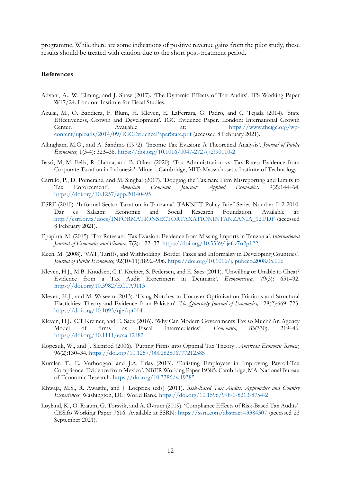programme. While there are some indications of positive revenue gains from the pilot study, these results should be treated with caution due to the short post-treatment period.

## **References**

- Advani, A., W. Elming, and J. Shaw (2017). 'The Dynamic Effects of Tax Audits'. IFS Working Paper W17/24. London: Institute for Fiscal Studies.
- Azulai, M., O. Bandiera, F. Blum, H. Kleven, E. LaFerrara, G. Padro, and C. Tejada (2014). 'State Effectiveness, Growth and Development'. IGC Evidence Paper. London: International Growth Center. Available at: [https://www.theigc.org/wp](https://www.theigc.org/wp-content/uploads/2014/09/IGCEvidencePaperState.pdf)[content/uploads/2014/09/IGCEvidencePaperState.pdf](https://www.theigc.org/wp-content/uploads/2014/09/IGCEvidencePaperState.pdf) (accessed 8 February 2021).
- Allingham, M.G., and A. Sandmo (1972). 'Income Tax Evasion: A Theoretical Analysis'*. Journal of Public Economics,* 1(3-4): 323–38. [https://doi.org/10.1016/0047-2727\(72\)90010-2](https://doi.org/10.1016/0047-2727(72)90010-2)
- Basri, M, M. Felix, R. Hanna, and B. Olken (2020). 'Tax Administration vs. Tax Rates: Evidence from Corporate Taxation in Indonesia'. Mimeo. Cambridge, MIT: Massachusetts Institute of Technology.
- Carrillo, P., D. Pomeranz, and M. Singhal (2017). 'Dodging the Taxman: Firm Misreporting and Limits to Tax Enforcement'*. American Economic Journal: Applied Economics,* 9(2):144–64. <https://doi.org/10.1257/app.20140495>
- ESRF (2010). 'Informal Sector Taxation in Tanzania'. TAKNET Policy Brief Series Number 012-2010. Dar es Salaam: Economic and Social Research Foundation. Available at: [http://esrf.or.tz/docs/INFORMATIONSECTORTAXATIONINTANZANIA\\_12.PDF](http://esrf.or.tz/docs/INFORMATIONSECTORTAXATIONINTANZANIA_12.PDF) (accessed 8 February 2021).
- Epaphra, M. (2015). 'Tax Rates and Tax Evasion: Evidence from Missing Imports in Tanzania'. *International Journal of Economics and Finance*, 7(2): 122–37.<https://doi.org/10.5539/ijef.v7n2p122>
- Keen, M. (2008). 'VAT, Tariffs, and Withholding: Border Taxes and Informality in Developing Countries'. *Journal of Public Economics,* 92(10-11):1892–906.<https://doi.org/10.1016/j.jpubeco.2008.05.006>
- Kleven, H.J., M.B. Knudsen, C.T. Kreiner, S. Pedersen, and E. Saez (2011). 'Unwilling or Unable to Cheat? Evidence from a Tax Audit Experiment in Denmark'. *Econometrica,* 79(3): 651–92. <https://doi.org/10.3982/ECTA9113>
- Kleven, H.J., and M. Waseem (2013). 'Using Notches to Uncover Optimization Frictions and Structural Elasticities: Theory and Evidence from Pakistan'. *The Quarterly Journal of Economics,* 128(2):669–723. <https://doi.org/10.1093/qje/qjt004>
- Kleven, H.J., C.T Kreiner, and E. Saez (2016). 'Why Can Modern Governments Tax so Much? An Agency Model of firms as Fiscal Intermediaries'*. Economica,* 83(330): 219–46. <https://doi.org/10.1111/ecca.12182>
- Kopczuk, W., and J. Slemrod (2006). 'Putting Firms into Optimal Tax Theory'. *American Economic Review,* 96(2):130–34.<https://doi.org/10.1257/000282806777212585>
- Kumler, T., E. Verhoogen, and J.A. Frías (2013). 'Enlisting Employees in Improving Payroll-Tax Compliance: Evidence from Mexico'. NBER Working Paper 19385. Cambridge, MA: National Bureau of Economic Research.<https://doi.org/10.3386/w19385>
- Khwaja, M.S., R. Awasthi, and J. Loeprick (eds) (2011). *Risk-Based Tax Audits. Approaches and Country Experiences*. Washington, DC: World Bank.<https://doi.org/10.1596/978-0-8213-8754-2>
- Løyland, K., O. Raaum, G. Torsvik, and A. Øvrum (2019). 'Compliance Effects of Risk-Based Tax Audits'. CESifo Working Paper 7616. Available at SSRN:<https://ssrn.com/abstract=3384307> (accessed 23 September 2021).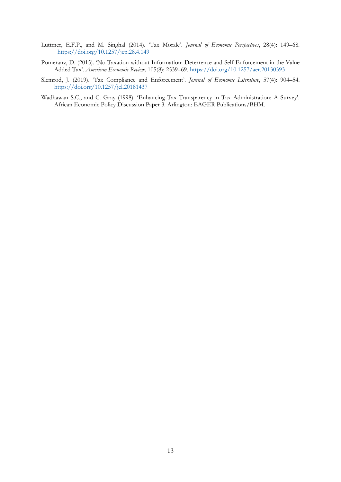- Luttmer, E.F.P., and M. Singhal (2014). 'Tax Morale'. *Journal of Economic Perspectives*, 28(4): 149–68. <https://doi.org/10.1257/jep.28.4.149>
- Pomeranz, D. (2015). 'No Taxation without Information: Deterrence and Self-Enforcement in the Value Added Tax'. *American Economic Review,* 105(8): 2539–69.<https://doi.org/10.1257/aer.20130393>
- Slemrod, J. (2019). 'Tax Compliance and Enforcement'. *Journal of Economic Literature*, 57(4): 904–54. <https://doi.org/10.1257/jel.20181437>
- Wadhawan S.C., and C. Gray (1998). 'Enhancing Tax Transparency in Tax Administration: A Survey'. African Economic Policy Discussion Paper 3. Arlington: EAGER Publications/BHM.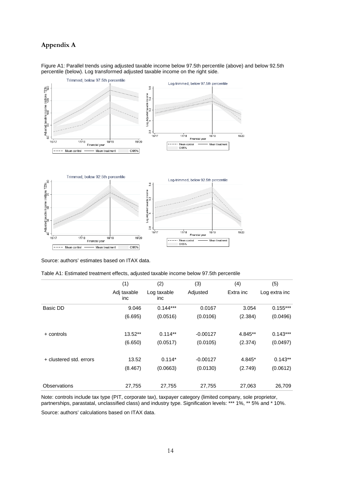## **Appendix A**



Figure A1: Parallel trends using adjusted taxable income below 97.5th percentile (above) and below 92.5th percentile (below). Log transformed adjusted taxable income on the right side.

Source: authors' estimates based on ITAX data.

| Table A1: Estimated treatment effects, adjusted taxable income below 97.5th percentile |  |  |
|----------------------------------------------------------------------------------------|--|--|
|----------------------------------------------------------------------------------------|--|--|

|                         | (1)                | (2)                | (3)        | (4)       | (5)           |
|-------------------------|--------------------|--------------------|------------|-----------|---------------|
|                         | Adj taxable<br>inc | Log taxable<br>inc | Adjusted   | Extra inc | Log extra inc |
| Basic DD                | 9.046              | $0.144***$         | 0.0167     | 3.054     | $0.155***$    |
|                         | (6.695)            | (0.0516)           | (0.0106)   | (2.384)   | (0.0496)      |
| + controls              | $13.52**$          | $0.114**$          | $-0.00127$ | 4.845**   | $0.143***$    |
|                         | (6.650)            | (0.0517)           | (0.0105)   | (2.374)   | (0.0497)      |
| + clustered std. errors | 13.52              | $0.114*$           | $-0.00127$ | 4.845*    | $0.143**$     |
|                         | (8.467)            | (0.0663)           | (0.0130)   | (2.749)   | (0.0612)      |
| <b>Observations</b>     | 27,755             | 27,755             | 27,755     | 27,063    | 26,709        |

Note: controls include tax type (PIT, corporate tax), taxpayer category (limited company, sole proprietor, partnerships, parastatal, unclassified class) and industry type. Signification levels: \*\*\* 1%, \*\* 5% and \* 10%.

Source: authors' calculations based on ITAX data.